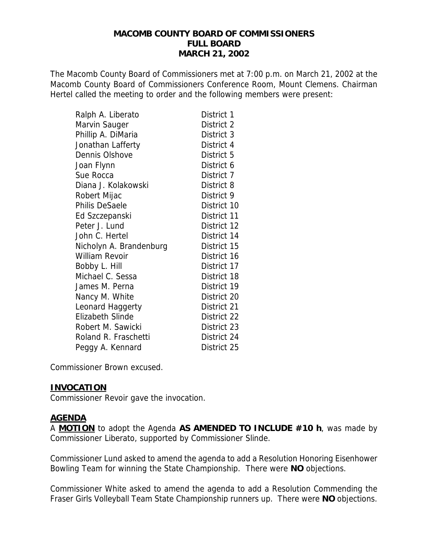The Macomb County Board of Commissioners met at 7:00 p.m. on March 21, 2002 at the Macomb County Board of Commissioners Conference Room, Mount Clemens. Chairman Hertel called the meeting to order and the following members were present:

| Ralph A. Liberato       | District 1  |
|-------------------------|-------------|
| Marvin Sauger           | District 2  |
| Phillip A. DiMaria      | District 3  |
| Jonathan Lafferty       | District 4  |
| Dennis Olshove          | District 5  |
| Joan Flynn              | District 6  |
| Sue Rocca               | District 7  |
| Diana J. Kolakowski     | District 8  |
| Robert Mijac            | District 9  |
| <b>Philis DeSaele</b>   | District 10 |
| Ed Szczepanski          | District 11 |
| Peter J. Lund           | District 12 |
| John C. Hertel          | District 14 |
| Nicholyn A. Brandenburg | District 15 |
| <b>William Revoir</b>   | District 16 |
| Bobby L. Hill           | District 17 |
| Michael C. Sessa        | District 18 |
| James M. Perna          | District 19 |
| Nancy M. White          | District 20 |
| Leonard Haggerty        | District 21 |
| Elizabeth Slinde        | District 22 |
| Robert M. Sawicki       | District 23 |
| Roland R. Fraschetti    | District 24 |
| Peggy A. Kennard        | District 25 |

Commissioner Brown excused.

#### **INVOCATION**

Commissioner Revoir gave the invocation.

#### **AGENDA**

A **MOTION** to adopt the Agenda **AS AMENDED TO INCLUDE #10 h**, was made by Commissioner Liberato, supported by Commissioner Slinde.

Commissioner Lund asked to amend the agenda to add a Resolution Honoring Eisenhower Bowling Team for winning the State Championship. There were **NO** objections.

Commissioner White asked to amend the agenda to add a Resolution Commending the Fraser Girls Volleyball Team State Championship runners up. There were **NO** objections.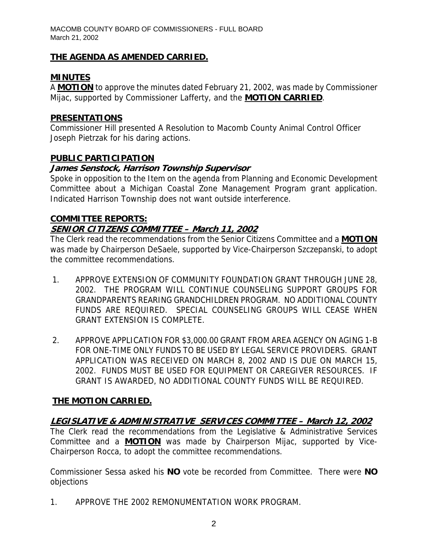## **THE AGENDA AS AMENDED CARRIED.**

## **MINUTES**

A **MOTION** to approve the minutes dated February 21, 2002, was made by Commissioner Mijac, supported by Commissioner Lafferty, and the **MOTION CARRIED**.

### **PRESENTATIONS**

Commissioner Hill presented A Resolution to Macomb County Animal Control Officer Joseph Pietrzak for his daring actions.

## **PUBLIC PARTICIPATION**

### **James Senstock, Harrison Township Supervisor**

Spoke in opposition to the Item on the agenda from Planning and Economic Development Committee about a Michigan Coastal Zone Management Program grant application. Indicated Harrison Township does not want outside interference.

## **COMMITTEE REPORTS:**

## **SENIOR CITIZENS COMMITTEE – March 11, 2002**

The Clerk read the recommendations from the Senior Citizens Committee and a **MOTION** was made by Chairperson DeSaele, supported by Vice-Chairperson Szczepanski, to adopt the committee recommendations.

- 1. APPROVE EXTENSION OF COMMUNITY FOUNDATION GRANT THROUGH JUNE 28, 2002. THE PROGRAM WILL CONTINUE COUNSELING SUPPORT GROUPS FOR GRANDPARENTS REARING GRANDCHILDREN PROGRAM. NO ADDITIONAL COUNTY FUNDS ARE REQUIRED. SPECIAL COUNSELING GROUPS WILL CEASE WHEN GRANT EXTENSION IS COMPLETE.
- 2. APPROVE APPLICATION FOR \$3,000.00 GRANT FROM AREA AGENCY ON AGING 1-B FOR ONE-TIME ONLY FUNDS TO BE USED BY LEGAL SERVICE PROVIDERS. GRANT APPLICATION WAS RECEIVED ON MARCH 8, 2002 AND IS DUE ON MARCH 15, 2002. FUNDS MUST BE USED FOR EQUIPMENT OR CAREGIVER RESOURCES. IF GRANT IS AWARDED, NO ADDITIONAL COUNTY FUNDS WILL BE REQUIRED.

## **THE MOTION CARRIED.**

## **LEGISLATIVE & ADMINISTRATIVE SERVICES COMMITTEE – March 12, 2002**

The Clerk read the recommendations from the Legislative & Administrative Services Committee and a **MOTION** was made by Chairperson Mijac, supported by Vice-Chairperson Rocca, to adopt the committee recommendations.

Commissioner Sessa asked his **NO** vote be recorded from Committee. There were **NO** objections

1. APPROVE THE 2002 REMONUMENTATION WORK PROGRAM.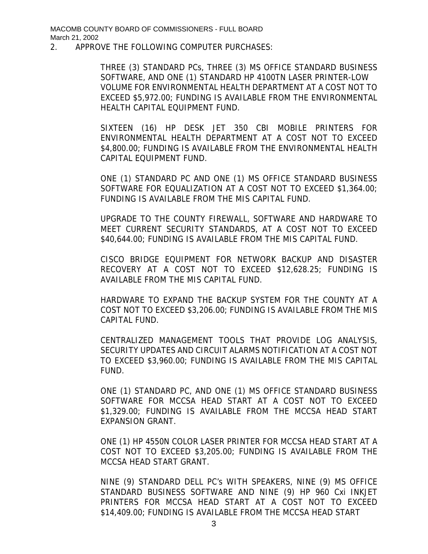#### 2. APPROVE THE FOLLOWING COMPUTER PURCHASES:

THREE (3) STANDARD PCs, THREE (3) MS OFFICE STANDARD BUSINESS SOFTWARE, AND ONE (1) STANDARD HP 4100TN LASER PRINTER-LOW VOLUME FOR ENVIRONMENTAL HEALTH DEPARTMENT AT A COST NOT TO EXCEED \$5,972.00; FUNDING IS AVAILABLE FROM THE ENVIRONMENTAL HEALTH CAPITAL EQUIPMENT FUND.

SIXTEEN (16) HP DESK JET 350 CBI MOBILE PRINTERS FOR ENVIRONMENTAL HEALTH DEPARTMENT AT A COST NOT TO EXCEED \$4,800.00; FUNDING IS AVAILABLE FROM THE ENVIRONMENTAL HEALTH CAPITAL EQUIPMENT FUND.

ONE (1) STANDARD PC AND ONE (1) MS OFFICE STANDARD BUSINESS SOFTWARE FOR EQUALIZATION AT A COST NOT TO EXCEED \$1,364.00; FUNDING IS AVAILABLE FROM THE MIS CAPITAL FUND.

UPGRADE TO THE COUNTY FIREWALL, SOFTWARE AND HARDWARE TO MEET CURRENT SECURITY STANDARDS, AT A COST NOT TO EXCEED \$40,644.00; FUNDING IS AVAILABLE FROM THE MIS CAPITAL FUND.

CISCO BRIDGE EQUIPMENT FOR NETWORK BACKUP AND DISASTER RECOVERY AT A COST NOT TO EXCEED \$12,628.25; FUNDING IS AVAILABLE FROM THE MIS CAPITAL FUND.

HARDWARE TO EXPAND THE BACKUP SYSTEM FOR THE COUNTY AT A COST NOT TO EXCEED \$3,206.00; FUNDING IS AVAILABLE FROM THE MIS CAPITAL FUND.

CENTRALIZED MANAGEMENT TOOLS THAT PROVIDE LOG ANALYSIS, SECURITY UPDATES AND CIRCUIT ALARMS NOTIFICATION AT A COST NOT TO EXCEED \$3,960.00; FUNDING IS AVAILABLE FROM THE MIS CAPITAL FUND.

ONE (1) STANDARD PC, AND ONE (1) MS OFFICE STANDARD BUSINESS SOFTWARE FOR MCCSA HEAD START AT A COST NOT TO EXCEED \$1,329.00; FUNDING IS AVAILABLE FROM THE MCCSA HEAD START EXPANSION GRANT.

ONE (1) HP 4550N COLOR LASER PRINTER FOR MCCSA HEAD START AT A COST NOT TO EXCEED \$3,205.00; FUNDING IS AVAILABLE FROM THE MCCSA HEAD START GRANT.

NINE (9) STANDARD DELL PC's WITH SPEAKERS, NINE (9) MS OFFICE STANDARD BUSINESS SOFTWARE AND NINE (9) HP 960 Cxi INKJET PRINTERS FOR MCCSA HEAD START AT A COST NOT TO EXCEED \$14,409.00; FUNDING IS AVAILABLE FROM THE MCCSA HEAD START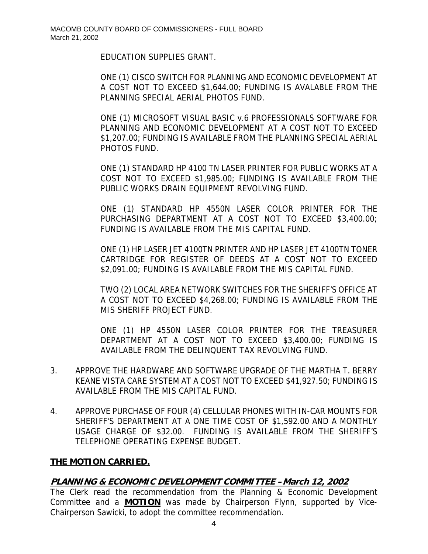EDUCATION SUPPLIES GRANT.

ONE (1) CISCO SWITCH FOR PLANNING AND ECONOMIC DEVELOPMENT AT A COST NOT TO EXCEED \$1,644.00; FUNDING IS AVALABLE FROM THE PLANNING SPECIAL AERIAL PHOTOS FUND.

ONE (1) MICROSOFT VISUAL BASIC v.6 PROFESSIONALS SOFTWARE FOR PLANNING AND ECONOMIC DEVELOPMENT AT A COST NOT TO EXCEED \$1,207.00; FUNDING IS AVAILABLE FROM THE PLANNING SPECIAL AERIAL PHOTOS FUND.

ONE (1) STANDARD HP 4100 TN LASER PRINTER FOR PUBLIC WORKS AT A COST NOT TO EXCEED \$1,985.00; FUNDING IS AVAILABLE FROM THE PUBLIC WORKS DRAIN EQUIPMENT REVOLVING FUND.

ONE (1) STANDARD HP 4550N LASER COLOR PRINTER FOR THE PURCHASING DEPARTMENT AT A COST NOT TO EXCEED \$3,400.00; FUNDING IS AVAILABLE FROM THE MIS CAPITAL FUND.

ONE (1) HP LASER JET 4100TN PRINTER AND HP LASER JET 4100TN TONER CARTRIDGE FOR REGISTER OF DEEDS AT A COST NOT TO EXCEED \$2,091.00; FUNDING IS AVAILABLE FROM THE MIS CAPITAL FUND.

TWO (2) LOCAL AREA NETWORK SWITCHES FOR THE SHERIFF'S OFFICE AT A COST NOT TO EXCEED \$4,268.00; FUNDING IS AVAILABLE FROM THE MIS SHERIFF PROJECT FUND.

ONE (1) HP 4550N LASER COLOR PRINTER FOR THE TREASURER DEPARTMENT AT A COST NOT TO EXCEED \$3,400.00; FUNDING IS AVAILABLE FROM THE DELINQUENT TAX REVOLVING FUND.

- 3. APPROVE THE HARDWARE AND SOFTWARE UPGRADE OF THE MARTHA T. BERRY KEANE VISTA CARE SYSTEM AT A COST NOT TO EXCEED \$41,927.50; FUNDING IS AVAILABLE FROM THE MIS CAPITAL FUND.
- 4. APPROVE PURCHASE OF FOUR (4) CELLULAR PHONES WITH IN-CAR MOUNTS FOR SHERIFF'S DEPARTMENT AT A ONE TIME COST OF \$1,592.00 AND A MONTHLY USAGE CHARGE OF \$32.00. FUNDING IS AVAILABLE FROM THE SHERIFF'S TELEPHONE OPERATING EXPENSE BUDGET.

## **THE MOTION CARRIED.**

## **PLANNING & ECONOMIC DEVELOPMENT COMMITTEE –March 12, 2002**

The Clerk read the recommendation from the Planning & Economic Development Committee and a **MOTION** was made by Chairperson Flynn, supported by Vice-Chairperson Sawicki, to adopt the committee recommendation.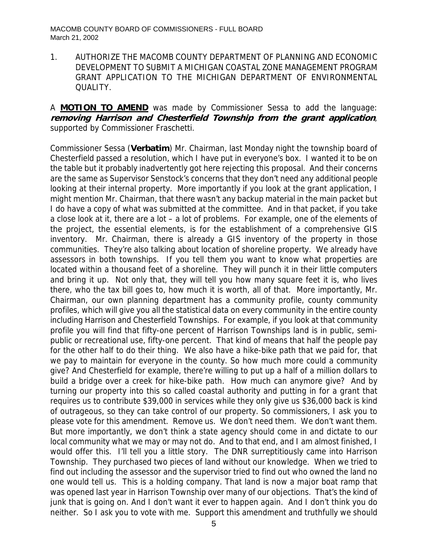1. AUTHORIZE THE MACOMB COUNTY DEPARTMENT OF PLANNING AND ECONOMIC DEVELOPMENT TO SUBMIT A MICHIGAN COASTAL ZONE MANAGEMENT PROGRAM GRANT APPLICATION TO THE MICHIGAN DEPARTMENT OF ENVIRONMENTAL QUALITY.

A **MOTION TO AMEND** was made by Commissioner Sessa to add the language: **removing Harrison and Chesterfield Township from the grant application**, supported by Commissioner Fraschetti.

Commissioner Sessa (**Verbatim**) Mr. Chairman, last Monday night the township board of Chesterfield passed a resolution, which I have put in everyone's box. I wanted it to be on the table but it probably inadvertently got here rejecting this proposal. And their concerns are the same as Supervisor Senstock's concerns that they don't need any additional people looking at their internal property. More importantly if you look at the grant application, I might mention Mr. Chairman, that there wasn't any backup material in the main packet but I do have a copy of what was submitted at the committee. And in that packet, if you take a close look at it, there are a lot – a lot of problems. For example, one of the elements of the project, the essential elements, is for the establishment of a comprehensive GIS inventory. Mr. Chairman, there is already a GIS inventory of the property in those communities. They're also talking about location of shoreline property. We already have assessors in both townships. If you tell them you want to know what properties are located within a thousand feet of a shoreline. They will punch it in their little computers and bring it up. Not only that, they will tell you how many square feet it is, who lives there, who the tax bill goes to, how much it is worth, all of that. More importantly, Mr. Chairman, our own planning department has a community profile, county community profiles, which will give you all the statistical data on every community in the entire county including Harrison and Chesterfield Townships. For example, if you look at that community profile you will find that fifty-one percent of Harrison Townships land is in public, semipublic or recreational use, fifty-one percent. That kind of means that half the people pay for the other half to do their thing. We also have a hike-bike path that we paid for, that we pay to maintain for everyone in the county. So how much more could a community give? And Chesterfield for example, there're willing to put up a half of a million dollars to build a bridge over a creek for hike-bike path. How much can anymore give? And by turning our property into this so called coastal authority and putting in for a grant that requires us to contribute \$39,000 in services while they only give us \$36,000 back is kind of outrageous, so they can take control of our property. So commissioners, I ask you to please vote for this amendment. Remove us. We don't need them. We don't want them. But more importantly, we don't think a state agency should come in and dictate to our local community what we may or may not do. And to that end, and I am almost finished, I would offer this. I'll tell you a little story. The DNR surreptitiously came into Harrison Township. They purchased two pieces of land without our knowledge. When we tried to find out including the assessor and the supervisor tried to find out who owned the land no one would tell us. This is a holding company. That land is now a major boat ramp that was opened last year in Harrison Township over many of our objections. That's the kind of junk that is going on. And I don't want it ever to happen again. And I don't think you do neither. So I ask you to vote with me. Support this amendment and truthfully we should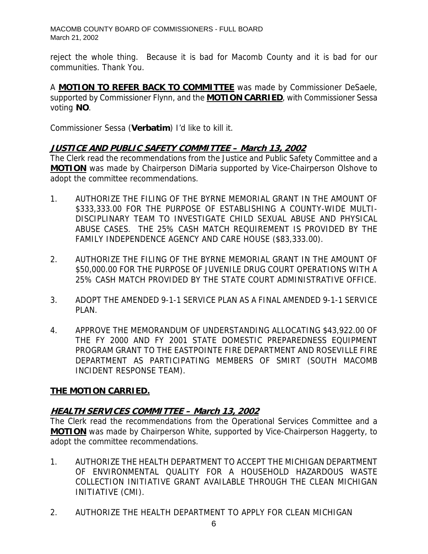reject the whole thing. Because it is bad for Macomb County and it is bad for our communities. Thank You.

A **MOTION TO REFER BACK TO COMMITTEE** was made by Commissioner DeSaele, supported by Commissioner Flynn, and the **MOTION CARRIED**, with Commissioner Sessa voting **NO**.

Commissioner Sessa (**Verbatim**) I'd like to kill it.

### **JUSTICE AND PUBLIC SAFETY COMMITTEE – March 13, 2002**

The Clerk read the recommendations from the Justice and Public Safety Committee and a **MOTION** was made by Chairperson DiMaria supported by Vice-Chairperson Olshove to adopt the committee recommendations.

- 1. AUTHORIZE THE FILING OF THE BYRNE MEMORIAL GRANT IN THE AMOUNT OF \$333,333.00 FOR THE PURPOSE OF ESTABLISHING A COUNTY-WIDE MULTI-DISCIPLINARY TEAM TO INVESTIGATE CHILD SEXUAL ABUSE AND PHYSICAL ABUSE CASES. THE 25% CASH MATCH REQUIREMENT IS PROVIDED BY THE FAMILY INDEPENDENCE AGENCY AND CARE HOUSE (\$83,333.00).
- 2. AUTHORIZE THE FILING OF THE BYRNE MEMORIAL GRANT IN THE AMOUNT OF \$50,000.00 FOR THE PURPOSE OF JUVENILE DRUG COURT OPERATIONS WITH A 25% CASH MATCH PROVIDED BY THE STATE COURT ADMINISTRATIVE OFFICE.
- 3. ADOPT THE AMENDED 9-1-1 SERVICE PLAN AS A FINAL AMENDED 9-1-1 SERVICE PLAN.
- 4. APPROVE THE MEMORANDUM OF UNDERSTANDING ALLOCATING \$43,922.00 OF THE FY 2000 AND FY 2001 STATE DOMESTIC PREPAREDNESS EQUIPMENT PROGRAM GRANT TO THE EASTPOINTE FIRE DEPARTMENT AND ROSEVILLE FIRE DEPARTMENT AS PARTICIPATING MEMBERS OF SMIRT (SOUTH MACOMB INCIDENT RESPONSE TEAM).

## **THE MOTION CARRIED.**

## **HEALTH SERVICES COMMITTEE – March 13, 2002**

The Clerk read the recommendations from the Operational Services Committee and a **MOTION** was made by Chairperson White, supported by Vice-Chairperson Haggerty, to adopt the committee recommendations.

- 1. AUTHORIZE THE HEALTH DEPARTMENT TO ACCEPT THE MICHIGAN DEPARTMENT OF ENVIRONMENTAL QUALITY FOR A HOUSEHOLD HAZARDOUS WASTE COLLECTION INITIATIVE GRANT AVAILABLE THROUGH THE CLEAN MICHIGAN INITIATIVE (CMI).
- 2. AUTHORIZE THE HEALTH DEPARTMENT TO APPLY FOR CLEAN MICHIGAN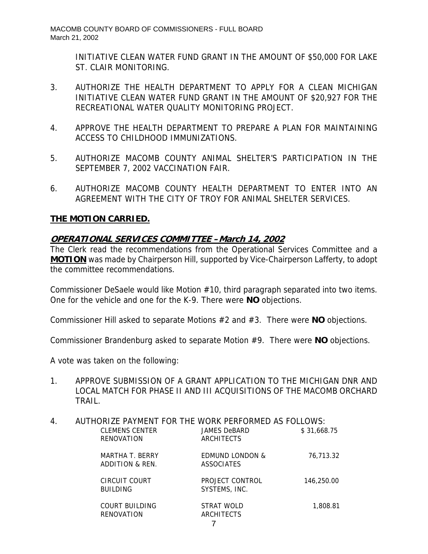INITIATIVE CLEAN WATER FUND GRANT IN THE AMOUNT OF \$50,000 FOR LAKE ST. CLAIR MONITORING.

- 3. AUTHORIZE THE HEALTH DEPARTMENT TO APPLY FOR A CLEAN MICHIGAN INITIATIVE CLEAN WATER FUND GRANT IN THE AMOUNT OF \$20,927 FOR THE RECREATIONAL WATER QUALITY MONITORING PROJECT.
- 4. APPROVE THE HEALTH DEPARTMENT TO PREPARE A PLAN FOR MAINTAINING ACCESS TO CHILDHOOD IMMUNIZATIONS.
- 5. AUTHORIZE MACOMB COUNTY ANIMAL SHELTER'S PARTICIPATION IN THE SEPTEMBER 7, 2002 VACCINATION FAIR.
- 6. AUTHORIZE MACOMB COUNTY HEALTH DEPARTMENT TO ENTER INTO AN AGREEMENT WITH THE CITY OF TROY FOR ANIMAL SHELTER SERVICES.

## **THE MOTION CARRIED.**

## **OPERATIONAL SERVICES COMMITTEE –March 14, 2002**

The Clerk read the recommendations from the Operational Services Committee and a **MOTION** was made by Chairperson Hill, supported by Vice-Chairperson Lafferty, to adopt the committee recommendations.

Commissioner DeSaele would like Motion #10, third paragraph separated into two items. One for the vehicle and one for the K-9. There were **NO** objections.

Commissioner Hill asked to separate Motions #2 and #3. There were **NO** objections.

Commissioner Brandenburg asked to separate Motion #9. There were **NO** objections.

A vote was taken on the following:

1. APPROVE SUBMISSION OF A GRANT APPLICATION TO THE MICHIGAN DNR AND LOCAL MATCH FOR PHASE II AND III ACQUISITIONS OF THE MACOMB ORCHARD TRAIL.

| 4. | AUTHORIZE PAYMENT FOR THE WORK PERFORMED AS FOLLOWS: |                            |             |
|----|------------------------------------------------------|----------------------------|-------------|
|    | <b>CLEMENS CENTER</b>                                | JAMES DeBARD               | \$31,668.75 |
|    | RENOVATION                                           | ARCHITECTS                 |             |
|    | MARTHA T. BERRY                                      | <b>EDMUND LONDON &amp;</b> | 76.713.32   |
|    | ADDITION & REN.                                      | <b>ASSOCIATES</b>          |             |
|    | CIRCUIT COURT                                        | PROJECT CONTROL            | 146,250.00  |
|    | <b>BUILDING</b>                                      | SYSTEMS, INC.              |             |
|    | COURT BUILDING                                       | STRAT WOLD                 | 1,808.81    |
|    | RENOVATION                                           | ARCHITECTS                 |             |
|    |                                                      |                            |             |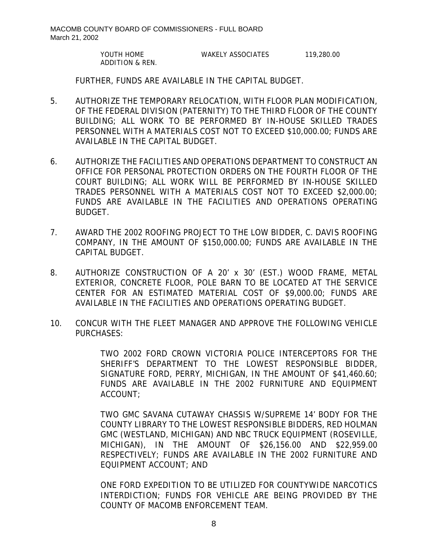YOUTH HOME WAKELY ASSOCIATES 119,280.00 ADDITION & REN.

FURTHER, FUNDS ARE AVAILABLE IN THE CAPITAL BUDGET.

- 5. AUTHORIZE THE TEMPORARY RELOCATION, WITH FLOOR PLAN MODIFICATION, OF THE FEDERAL DIVISION (PATERNITY) TO THE THIRD FLOOR OF THE COUNTY BUILDING; ALL WORK TO BE PERFORMED BY IN-HOUSE SKILLED TRADES PERSONNEL WITH A MATERIALS COST NOT TO EXCEED \$10,000.00; FUNDS ARE AVAILABLE IN THE CAPITAL BUDGET.
- 6. AUTHORIZE THE FACILITIES AND OPERATIONS DEPARTMENT TO CONSTRUCT AN OFFICE FOR PERSONAL PROTECTION ORDERS ON THE FOURTH FLOOR OF THE COURT BUILDING; ALL WORK WILL BE PERFORMED BY IN-HOUSE SKILLED TRADES PERSONNEL WITH A MATERIALS COST NOT TO EXCEED \$2,000.00; FUNDS ARE AVAILABLE IN THE FACILITIES AND OPERATIONS OPERATING BUDGET.
- 7. AWARD THE 2002 ROOFING PROJECT TO THE LOW BIDDER, C. DAVIS ROOFING COMPANY, IN THE AMOUNT OF \$150,000.00; FUNDS ARE AVAILABLE IN THE CAPITAL BUDGET.
- 8. AUTHORIZE CONSTRUCTION OF A 20' x 30' (EST.) WOOD FRAME, METAL EXTERIOR, CONCRETE FLOOR, POLE BARN TO BE LOCATED AT THE SERVICE CENTER FOR AN ESTIMATED MATERIAL COST OF \$9,000.00; FUNDS ARE AVAILABLE IN THE FACILITIES AND OPERATIONS OPERATING BUDGET.
- 10. CONCUR WITH THE FLEET MANAGER AND APPROVE THE FOLLOWING VEHICLE PURCHASES:

TWO 2002 FORD CROWN VICTORIA POLICE INTERCEPTORS FOR THE SHERIFF'S DEPARTMENT TO THE LOWEST RESPONSIBLE BIDDER, SIGNATURE FORD, PERRY, MICHIGAN, IN THE AMOUNT OF \$41,460.60; FUNDS ARE AVAILABLE IN THE 2002 FURNITURE AND EQUIPMENT ACCOUNT;

TWO GMC SAVANA CUTAWAY CHASSIS W/SUPREME 14' BODY FOR THE COUNTY LIBRARY TO THE LOWEST RESPONSIBLE BIDDERS, RED HOLMAN GMC (WESTLAND, MICHIGAN) AND NBC TRUCK EQUIPMENT (ROSEVILLE, MICHIGAN), IN THE AMOUNT OF \$26,156.00 AND \$22,959.00 RESPECTIVELY; FUNDS ARE AVAILABLE IN THE 2002 FURNITURE AND EQUIPMENT ACCOUNT; AND

ONE FORD EXPEDITION TO BE UTILIZED FOR COUNTYWIDE NARCOTICS INTERDICTION; FUNDS FOR VEHICLE ARE BEING PROVIDED BY THE COUNTY OF MACOMB ENFORCEMENT TEAM.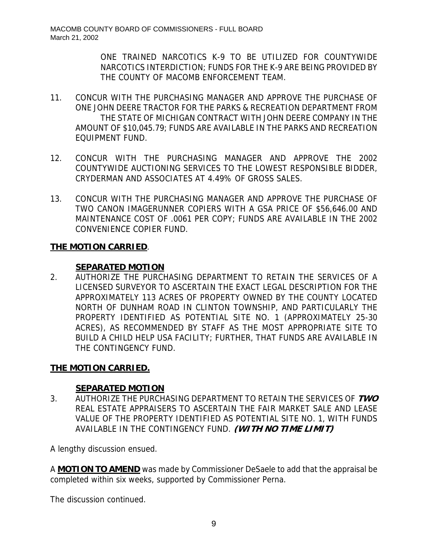ONE TRAINED NARCOTICS K-9 TO BE UTILIZED FOR COUNTYWIDE NARCOTICS INTERDICTION; FUNDS FOR THE K-9 ARE BEING PROVIDED BY THE COUNTY OF MACOMB ENFORCEMENT TEAM.

- 11. CONCUR WITH THE PURCHASING MANAGER AND APPROVE THE PURCHASE OF ONE JOHN DEERE TRACTOR FOR THE PARKS & RECREATION DEPARTMENT FROM THE STATE OF MICHIGAN CONTRACT WITH JOHN DEERE COMPANY IN THE AMOUNT OF \$10,045.79; FUNDS ARE AVAILABLE IN THE PARKS AND RECREATION EQUIPMENT FUND.
- 12. CONCUR WITH THE PURCHASING MANAGER AND APPROVE THE 2002 COUNTYWIDE AUCTIONING SERVICES TO THE LOWEST RESPONSIBLE BIDDER, CRYDERMAN AND ASSOCIATES AT 4.49% OF GROSS SALES.
- 13. CONCUR WITH THE PURCHASING MANAGER AND APPROVE THE PURCHASE OF TWO CANON IMAGERUNNER COPIERS WITH A GSA PRICE OF \$56,646.00 AND MAINTENANCE COST OF .0061 PER COPY; FUNDS ARE AVAILABLE IN THE 2002 CONVENIENCE COPIER FUND.

## **THE MOTION CARRIED**.

## **SEPARATED MOTION**

2. AUTHORIZE THE PURCHASING DEPARTMENT TO RETAIN THE SERVICES OF A LICENSED SURVEYOR TO ASCERTAIN THE EXACT LEGAL DESCRIPTION FOR THE APPROXIMATELY 113 ACRES OF PROPERTY OWNED BY THE COUNTY LOCATED NORTH OF DUNHAM ROAD IN CLINTON TOWNSHIP, AND PARTICULARLY THE PROPERTY IDENTIFIED AS POTENTIAL SITE NO. 1 (APPROXIMATELY 25-30 ACRES), AS RECOMMENDED BY STAFF AS THE MOST APPROPRIATE SITE TO BUILD A CHILD HELP USA FACILITY; FURTHER, THAT FUNDS ARE AVAILABLE IN THE CONTINGENCY FUND.

# **THE MOTION CARRIED.**

# **SEPARATED MOTION**

3. AUTHORIZE THE PURCHASING DEPARTMENT TO RETAIN THE SERVICES OF **TWO**  REAL ESTATE APPRAISERS TO ASCERTAIN THE FAIR MARKET SALE AND LEASE VALUE OF THE PROPERTY IDENTIFIED AS POTENTIAL SITE NO. 1, WITH FUNDS AVAILABLE IN THE CONTINGENCY FUND. **(WITH NO TIME LIMIT)** 

A lengthy discussion ensued.

A **MOTION TO AMEND** was made by Commissioner DeSaele to add that the appraisal be completed within six weeks, supported by Commissioner Perna.

The discussion continued.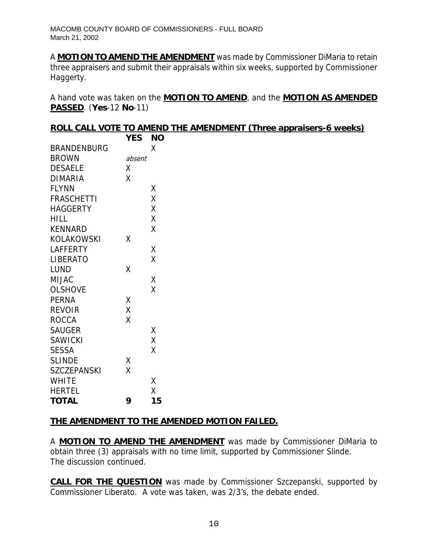A **MOTION TO AMEND THE AMENDMENT** was made by Commissioner DiMaria to retain three appraisers and submit their appraisals within six weeks, supported by Commissioner Haggerty.

A hand vote was taken on the **MOTION TO AMEND**, and the **MOTION AS AMENDED PASSED**. (**Yes**-12 **No**-11)

|             | ROLL CALL VOTE TO AMEND THE AMENDMENT (Three appraisers-6 weeks) |
|-------------|------------------------------------------------------------------|
| $VFC$ $NIC$ |                                                                  |

|                    | 1 L.J  | טעו |
|--------------------|--------|-----|
| <b>BRANDENBURG</b> |        | χ   |
| <b>BROWN</b>       | absent |     |
| <b>DESAELE</b>     | Χ      |     |
| DIMARIA            | Χ      |     |
| <b>FLYNN</b>       |        | Χ   |
| <b>FRASCHETTI</b>  |        | X   |
| <b>HAGGERTY</b>    |        | Χ   |
| HILL               |        | Χ   |
| KENNARD            |        | Χ   |
| KOLAKOWSKI         | Χ      |     |
| <b>LAFFERTY</b>    |        | Χ   |
| <b>LIBERATO</b>    |        | X   |
| LUND               | Χ      |     |
| MIJAC              |        | Χ   |
| <b>OLSHOVE</b>     |        | X   |
| <b>PERNA</b>       | Χ      |     |
| <b>REVOIR</b>      | X      |     |
| <b>ROCCA</b>       | Χ      |     |
| <b>SAUGER</b>      |        | Χ   |
| <b>SAWICKI</b>     |        | X   |
| <b>SESSA</b>       |        | Χ   |
| <b>SLINDE</b>      | Χ      |     |
| <b>SZCZEPANSKI</b> | X      |     |
| <b>WHITE</b>       |        | Χ   |
| <b>HERTEL</b>      |        | X   |
| <b>TOTAL</b>       | 9      | 15  |
|                    |        |     |

## **THE AMENDMENT TO THE AMENDED MOTION FAILED.**

A **MOTION TO AMEND THE AMENDMENT** was made by Commissioner DiMaria to obtain three (3) appraisals with no time limit, supported by Commissioner Slinde. The discussion continued.

**CALL FOR THE QUESTION** was made by Commissioner Szczepanski, supported by Commissioner Liberato. A vote was taken, was 2/3's, the debate ended.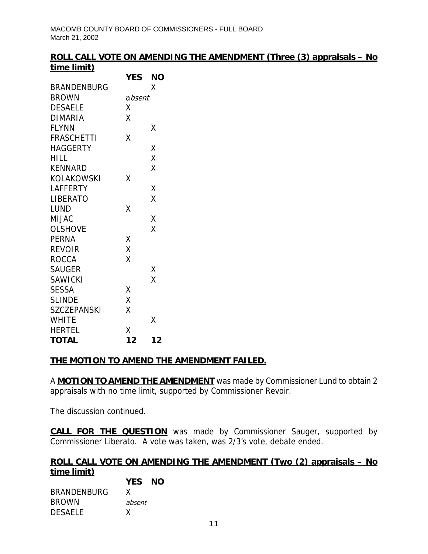### **ROLL CALL VOTE ON AMENDING THE AMENDMENT (Three (3) appraisals – No time limit)**

|                    | <b>YES</b> | ΝO |
|--------------------|------------|----|
| <b>BRANDENBURG</b> |            | Χ  |
| BROWN              | absent     |    |
| <b>DESAELE</b>     | Χ          |    |
| <b>DIMARIA</b>     | Χ          |    |
| <b>FLYNN</b>       |            | Χ  |
| FRASCHETTI         | Χ          |    |
| HAGGERTY           |            | χ  |
| HILL               |            | Χ  |
| <b>KENNARD</b>     |            | X  |
| KOLAKOWSKI         | Χ          |    |
| LAFFERTY           |            | Χ  |
| LIBERATO           |            | X  |
| LUND               | χ          |    |
| MIJAC              |            | Χ  |
| <b>OLSHOVE</b>     |            | X  |
| <b>PERNA</b>       | Χ          |    |
| <b>REVOIR</b>      | X          |    |
| <b>ROCCA</b>       | Χ          |    |
| <b>SAUGER</b>      |            | Χ  |
| <b>SAWICKI</b>     |            | X  |
| <b>SESSA</b>       | Χ          |    |
| <b>SLINDE</b>      | Χ          |    |
| <b>SZCZEPANSKI</b> | Χ          |    |
| <b>WHITE</b>       |            | Χ  |
| <b>HERTEL</b>      | Χ          |    |
| <b>TOTAL</b>       | 12         | 12 |

## **THE MOTION TO AMEND THE AMENDMENT FAILED.**

A **MOTION TO AMEND THE AMENDMENT** was made by Commissioner Lund to obtain 2 appraisals with no time limit, supported by Commissioner Revoir.

The discussion continued.

**CALL FOR THE QUESTION** was made by Commissioner Sauger, supported by Commissioner Liberato. A vote was taken, was 2/3's vote, debate ended.

#### **ROLL CALL VOTE ON AMENDING THE AMENDMENT (Two (2) appraisals – No time limit) YES NO**

|                    | <b>YES</b> | N |
|--------------------|------------|---|
| <b>BRANDENBURG</b> | x          |   |
| <b>BROWN</b>       | absent     |   |
| <b>DESAELE</b>     | x          |   |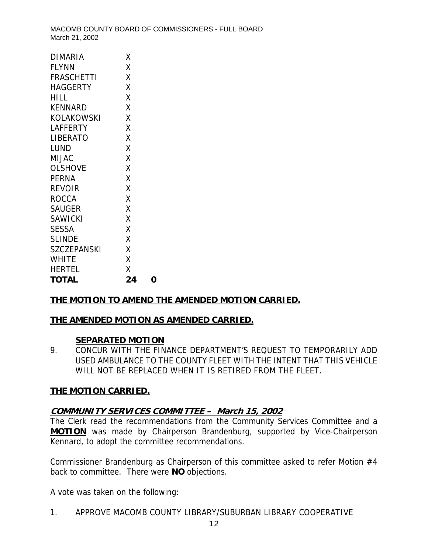| <b>DIMARIA</b>     | Χ  |   |
|--------------------|----|---|
| <b>FLYNN</b>       | Χ  |   |
| <b>FRASCHETTI</b>  | Χ  |   |
| <b>HAGGERTY</b>    | X  |   |
| HILL               | Χ  |   |
| <b>KENNARD</b>     | Χ  |   |
| <b>KOLAKOWSKI</b>  | Χ  |   |
| LAFFERTY           | Χ  |   |
| <b>LIBERATO</b>    | Χ  |   |
| LUND               | Χ  |   |
| MIJAC              | Χ  |   |
| <b>OLSHOVE</b>     | X  |   |
| <b>PERNA</b>       | Χ  |   |
| <b>REVOIR</b>      | Χ  |   |
| <b>ROCCA</b>       | X  |   |
| <b>SAUGER</b>      | Χ  |   |
| SAWICKI            | Χ  |   |
| <b>SESSA</b>       | Χ  |   |
| <b>SLINDE</b>      | Χ  |   |
| <b>SZCZEPANSKI</b> | Χ  |   |
| WHITE              | Χ  |   |
| <b>HERTEL</b>      | Χ  |   |
| <b>TOTAL</b>       | 24 | ი |

## **THE MOTION TO AMEND THE AMENDED MOTION CARRIED.**

#### **THE AMENDED MOTION AS AMENDED CARRIED.**

#### **SEPARATED MOTION**

9. CONCUR WITH THE FINANCE DEPARTMENT'S REQUEST TO TEMPORARILY ADD USED AMBULANCE TO THE COUNTY FLEET WITH THE INTENT THAT THIS VEHICLE WILL NOT BE REPLACED WHEN IT IS RETIRED FROM THE FLEET.

#### **THE MOTION CARRIED.**

## **COMMUNITY SERVICES COMMITTEE – March 15, 2002**

The Clerk read the recommendations from the Community Services Committee and a **MOTION** was made by Chairperson Brandenburg, supported by Vice-Chairperson Kennard, to adopt the committee recommendations.

Commissioner Brandenburg as Chairperson of this committee asked to refer Motion #4 back to committee. There were **NO** objections.

A vote was taken on the following:

1. APPROVE MACOMB COUNTY LIBRARY/SUBURBAN LIBRARY COOPERATIVE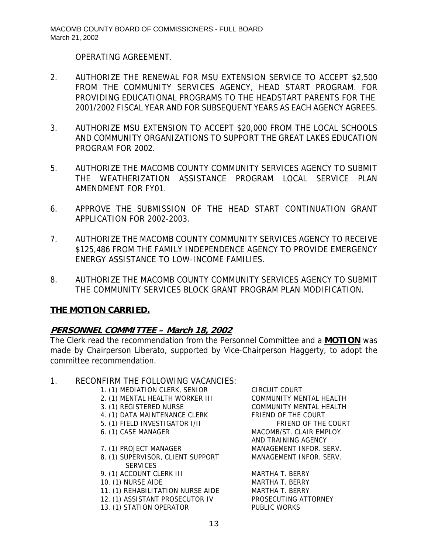OPERATING AGREEMENT.

- 2. AUTHORIZE THE RENEWAL FOR MSU EXTENSION SERVICE TO ACCEPT \$2,500 FROM THE COMMUNITY SERVICES AGENCY, HEAD START PROGRAM. FOR PROVIDING EDUCATIONAL PROGRAMS TO THE HEADSTART PARENTS FOR THE 2001/2002 FISCAL YEAR AND FOR SUBSEQUENT YEARS AS EACH AGENCY AGREES.
- 3. AUTHORIZE MSU EXTENSION TO ACCEPT \$20,000 FROM THE LOCAL SCHOOLS AND COMMUNITY ORGANIZATIONS TO SUPPORT THE GREAT LAKES EDUCATION PROGRAM FOR 2002.
- 5. AUTHORIZE THE MACOMB COUNTY COMMUNITY SERVICES AGENCY TO SUBMIT THE WEATHERIZATION ASSISTANCE PROGRAM LOCAL SERVICE PLAN AMENDMENT FOR FY01.
- 6. APPROVE THE SUBMISSION OF THE HEAD START CONTINUATION GRANT APPLICATION FOR 2002-2003.
- 7. AUTHORIZE THE MACOMB COUNTY COMMUNITY SERVICES AGENCY TO RECEIVE \$125,486 FROM THE FAMILY INDEPENDENCE AGENCY TO PROVIDE EMERGENCY ENERGY ASSISTANCE TO LOW-INCOME FAMILIES.
- 8. AUTHORIZE THE MACOMB COUNTY COMMUNITY SERVICES AGENCY TO SUBMIT THE COMMUNITY SERVICES BLOCK GRANT PROGRAM PLAN MODIFICATION.

## **THE MOTION CARRIED.**

## **PERSONNEL COMMITTEE – March 18, 2002**

The Clerk read the recommendation from the Personnel Committee and a **MOTION** was made by Chairperson Liberato, supported by Vice-Chairperson Haggerty, to adopt the committee recommendation.

#### 1. RECONFIRM THE FOLLOWING VACANCIES:

- 1. (1) MEDIATION CLERK, SENIOR CIRCUIT COURT
- 2. (1) MENTAL HEALTH WORKER III COMMUNITY MENTAL HEALTH
- 
- 4. (1) DATA MAINTENANCE CLERK FRIEND OF THE COURT
- 5. (1) FIELD INVESTIGATOR I/II FRIEND OF THE COURT
- 
- 
- 8. (1) SUPERVISOR, CLIENT SUPPORT MANAGEMENT INFOR. SERV. **SERVICES**
- 9. (1) ACCOUNT CLERK III MARTHA T. BERRY
- 10. (1) NURSE AIDE MARTHA T. BERRY
- 11. (1) REHABILITATION NURSE AIDE MARTHA T. BERRY
- 12. (1) ASSISTANT PROSECUTOR IV PROSECUTING ATTORNEY
- 13. (1) STATION OPERATOR PUBLIC WORKS

3. (1) REGISTERED NURSE COMMUNITY MENTAL HEALTH 6. (1) CASE MANAGER MACOMB/ST. CLAIR EMPLOY. AND TRAINING AGENCY 7. (1) PROJECT MANAGER MANAGEMENT INFOR. SERV.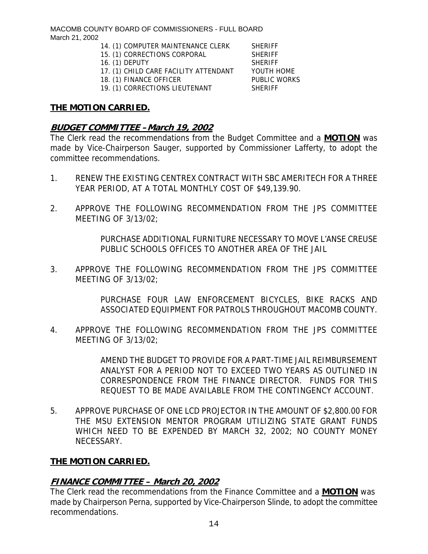- 14. (1) COMPUTER MAINTENANCE CLERK SHERIFF
- 15. (1) CORRECTIONS CORPORAL SHERIFF
- 16. (1) DEPUTY SHERIFF
- 17. (1) CHILD CARE FACILITY ATTENDANT YOUTH HOME
- 18. (1) FINANCE OFFICER PUBLIC WORKS

19. (1) CORRECTIONS LIEUTENANT SHERIFF

#### **THE MOTION CARRIED.**

### **BUDGET COMMITTEE –March 19, 2002**

The Clerk read the recommendations from the Budget Committee and a **MOTION** was made by Vice-Chairperson Sauger, supported by Commissioner Lafferty, to adopt the committee recommendations.

- 1. RENEW THE EXISTING CENTREX CONTRACT WITH SBC AMERITECH FOR A THREE YEAR PERIOD, AT A TOTAL MONTHLY COST OF \$49,139.90.
- 2. APPROVE THE FOLLOWING RECOMMENDATION FROM THE JPS COMMITTEE MEETING OF 3/13/02;

PURCHASE ADDITIONAL FURNITURE NECESSARY TO MOVE L'ANSE CREUSE PUBLIC SCHOOLS OFFICES TO ANOTHER AREA OF THE JAIL

3. APPROVE THE FOLLOWING RECOMMENDATION FROM THE JPS COMMITTEE MEETING OF 3/13/02;

> PURCHASE FOUR LAW ENFORCEMENT BICYCLES, BIKE RACKS AND ASSOCIATED EQUIPMENT FOR PATROLS THROUGHOUT MACOMB COUNTY.

4. APPROVE THE FOLLOWING RECOMMENDATION FROM THE JPS COMMITTEE MEETING OF 3/13/02;

> AMEND THE BUDGET TO PROVIDE FOR A PART-TIME JAIL REIMBURSEMENT ANALYST FOR A PERIOD NOT TO EXCEED TWO YEARS AS OUTLINED IN CORRESPONDENCE FROM THE FINANCE DIRECTOR. FUNDS FOR THIS REQUEST TO BE MADE AVAILABLE FROM THE CONTINGENCY ACCOUNT.

5. APPROVE PURCHASE OF ONE LCD PROJECTOR IN THE AMOUNT OF \$2,800.00 FOR THE MSU EXTENSION MENTOR PROGRAM UTILIZING STATE GRANT FUNDS WHICH NEED TO BE EXPENDED BY MARCH 32, 2002; NO COUNTY MONEY NECESSARY.

## **THE MOTION CARRIED.**

# **FINANCE COMMITTEE – March 20, 2002**

The Clerk read the recommendations from the Finance Committee and a **MOTION** was made by Chairperson Perna, supported by Vice-Chairperson Slinde, to adopt the committee recommendations.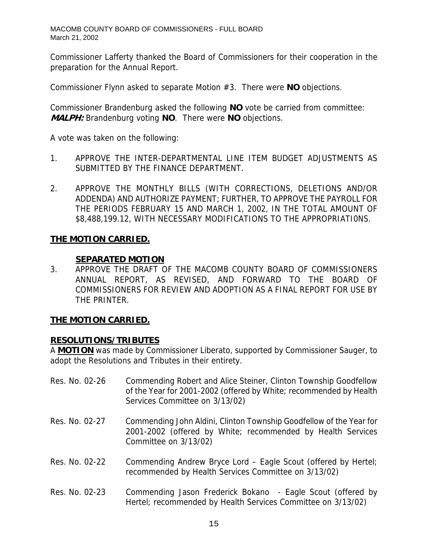Commissioner Lafferty thanked the Board of Commissioners for their cooperation in the preparation for the Annual Report.

Commissioner Flynn asked to separate Motion #3. There were **NO** objections.

Commissioner Brandenburg asked the following **NO** vote be carried from committee: **MALPH:** Brandenburg voting **NO**. There were **NO** objections.

A vote was taken on the following:

- 1. APPROVE THE INTER-DEPARTMENTAL LINE ITEM BUDGET ADJUSTMENTS AS SUBMITTED BY THE FINANCE DEPARTMENT.
- 2. APPROVE THE MONTHLY BILLS (WITH CORRECTIONS, DELETIONS AND/OR ADDENDA) AND AUTHORIZE PAYMENT; FURTHER, TO APPROVE THE PAYROLL FOR THE PERIODS FEBRUARY 15 AND MARCH 1, 2002, IN THE TOTAL AMOUNT OF \$8,488,199.12, WITH NECESSARY MODIFICATIONS TO THE APPROPRIATI0NS.

## **THE MOTION CARRIED.**

### **SEPARATED MOTION**

3. APPROVE THE DRAFT OF THE MACOMB COUNTY BOARD OF COMMISSIONERS ANNUAL REPORT, AS REVISED, AND FORWARD TO THE BOARD OF COMMISSIONERS FOR REVIEW AND ADOPTION AS A FINAL REPORT FOR USE BY THE PRINTER.

## **THE MOTION CARRIED.**

## **RESOLUTIONS/TRIBUTES**

A **MOTION** was made by Commissioner Liberato, supported by Commissioner Sauger, to adopt the Resolutions and Tributes in their entirety.

| Res. No. 02-26 | Commending Robert and Alice Steiner, Clinton Township Goodfellow<br>of the Year for 2001-2002 (offered by White; recommended by Health<br>Services Committee on 3/13/02) |
|----------------|--------------------------------------------------------------------------------------------------------------------------------------------------------------------------|
| Res. No. 02-27 | Commending John Aldini, Clinton Township Goodfellow of the Year for<br>2001-2002 (offered by White; recommended by Health Services<br>Committee on 3/13/02)              |
| Res. No. 02-22 | Commending Andrew Bryce Lord – Eagle Scout (offered by Hertel;<br>recommended by Health Services Committee on 3/13/02)                                                   |
| Res. No. 02-23 | Commending Jason Frederick Bokano - Eagle Scout (offered by<br>Hertel; recommended by Health Services Committee on 3/13/02)                                              |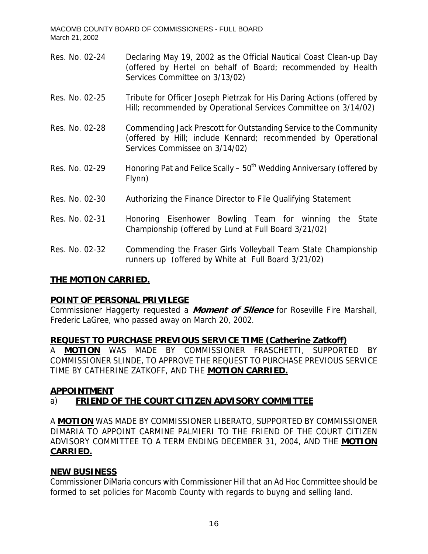- Res. No. 02-24 Declaring May 19, 2002 as the Official Nautical Coast Clean-up Day (offered by Hertel on behalf of Board; recommended by Health Services Committee on 3/13/02)
- Res. No. 02-25 Tribute for Officer Joseph Pietrzak for His Daring Actions (offered by Hill; recommended by Operational Services Committee on 3/14/02)
- Res. No. 02-28 Commending Jack Prescott for Outstanding Service to the Community (offered by Hill; include Kennard; recommended by Operational Services Commissee on 3/14/02)
- Res. No. 02-29 Honoring Pat and Felice Scally  $50<sup>th</sup>$  Wedding Anniversary (offered by Flynn)
- Res. No. 02-30 Authorizing the Finance Director to File Qualifying Statement
- Res. No. 02-31 Honoring Eisenhower Bowling Team for winning the State Championship (offered by Lund at Full Board 3/21/02)
- Res. No. 02-32 Commending the Fraser Girls Volleyball Team State Championship runners up (offered by White at Full Board 3/21/02)

## **THE MOTION CARRIED.**

# **POINT OF PERSONAL PRIVILEGE**

Commissioner Haggerty requested a **Moment of Silence** for Roseville Fire Marshall, Frederic LaGree, who passed away on March 20, 2002.

## **REQUEST TO PURCHASE PREVIOUS SERVICE TIME (Catherine Zatkoff)**

A **MOTION** WAS MADE BY COMMISSIONER FRASCHETTI, SUPPORTED BY COMMISSIONER SLINDE, TO APPROVE THE REQUEST TO PURCHASE PREVIOUS SERVICE TIME BY CATHERINE ZATKOFF, AND THE **MOTION CARRIED.**

## **APPOINTMENT**

# a) **FRIEND OF THE COURT CITIZEN ADVISORY COMMITTEE**

A **MOTION** WAS MADE BY COMMISSIONER LIBERATO, SUPPORTED BY COMMISSIONER DIMARIA TO APPOINT CARMINE PALMIERI TO THE FRIEND OF THE COURT CITIZEN ADVISORY COMMITTEE TO A TERM ENDING DECEMBER 31, 2004, AND THE **MOTION CARRIED.**

## **NEW BUSINESS**

Commissioner DiMaria concurs with Commissioner Hill that an Ad Hoc Committee should be formed to set policies for Macomb County with regards to buyng and selling land.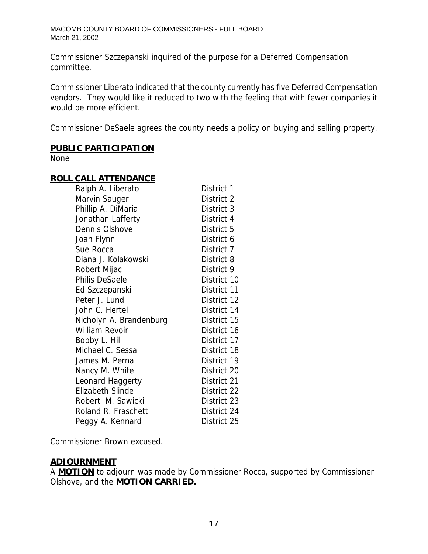Commissioner Szczepanski inquired of the purpose for a Deferred Compensation committee.

Commissioner Liberato indicated that the county currently has five Deferred Compensation vendors. They would like it reduced to two with the feeling that with fewer companies it would be more efficient.

Commissioner DeSaele agrees the county needs a policy on buying and selling property.

#### **PUBLIC PARTICIPATION**

None

## **ROLL CALL ATTENDANCE**

| Ralph A. Liberato       | District 1  |
|-------------------------|-------------|
| Marvin Sauger           | District 2  |
| Phillip A. DiMaria      | District 3  |
| Jonathan Lafferty       | District 4  |
| Dennis Olshove          | District 5  |
| Joan Flynn              | District 6  |
| Sue Rocca               | District 7  |
| Diana J. Kolakowski     | District 8  |
| Robert Mijac            | District 9  |
| <b>Philis DeSaele</b>   | District 10 |
| Ed Szczepanski          | District 11 |
| Peter J. Lund           | District 12 |
| John C. Hertel          | District 14 |
| Nicholyn A. Brandenburg | District 15 |
| <b>William Revoir</b>   | District 16 |
| Bobby L. Hill           | District 17 |
| Michael C. Sessa        | District 18 |
| James M. Perna          | District 19 |
| Nancy M. White          | District 20 |
| Leonard Haggerty        | District 21 |
| <b>Elizabeth Slinde</b> | District 22 |
| Robert M. Sawicki       | District 23 |
| Roland R. Fraschetti    | District 24 |
| Peggy A. Kennard        | District 25 |

Commissioner Brown excused.

#### **ADJOURNMENT**

A **MOTION** to adjourn was made by Commissioner Rocca, supported by Commissioner Olshove, and the **MOTION CARRIED.**